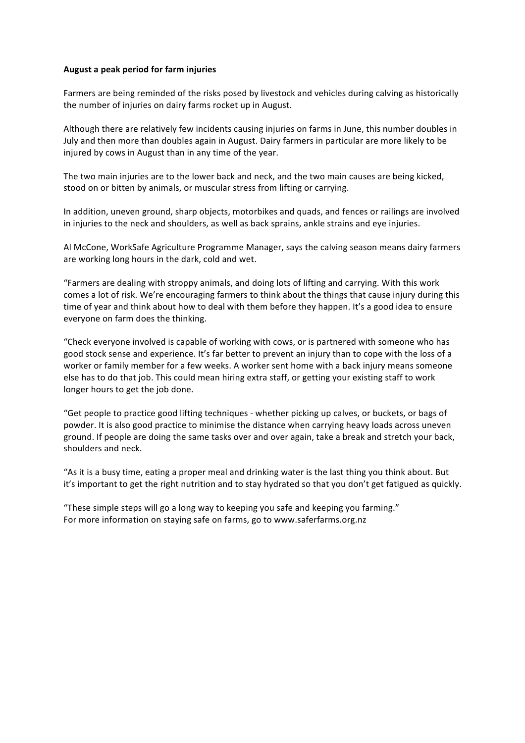## **August a peak period for farm injuries**

Farmers are being reminded of the risks posed by livestock and vehicles during calving as historically the number of injuries on dairy farms rocket up in August.

Although there are relatively few incidents causing injuries on farms in June, this number doubles in July and then more than doubles again in August. Dairy farmers in particular are more likely to be injured by cows in August than in any time of the year.

The two main injuries are to the lower back and neck, and the two main causes are being kicked, stood on or bitten by animals, or muscular stress from lifting or carrying.

In addition, uneven ground, sharp objects, motorbikes and quads, and fences or railings are involved in injuries to the neck and shoulders, as well as back sprains, ankle strains and eye injuries.

Al McCone, WorkSafe Agriculture Programme Manager, says the calving season means dairy farmers are working long hours in the dark, cold and wet.

"Farmers are dealing with stroppy animals, and doing lots of lifting and carrying. With this work comes a lot of risk. We're encouraging farmers to think about the things that cause injury during this time of year and think about how to deal with them before they happen. It's a good idea to ensure everyone on farm does the thinking.

"Check everyone involved is capable of working with cows, or is partnered with someone who has good stock sense and experience. It's far better to prevent an injury than to cope with the loss of a worker or family member for a few weeks. A worker sent home with a back injury means someone else has to do that job. This could mean hiring extra staff, or getting your existing staff to work longer hours to get the job done.

"Get people to practice good lifting techniques - whether picking up calves, or buckets, or bags of powder. It is also good practice to minimise the distance when carrying heavy loads across uneven ground. If people are doing the same tasks over and over again, take a break and stretch your back, shoulders and neck.

"As it is a busy time, eating a proper meal and drinking water is the last thing you think about. But it's important to get the right nutrition and to stay hydrated so that you don't get fatigued as quickly.

"These simple steps will go a long way to keeping you safe and keeping you farming." For more information on staving safe on farms, go to www.saferfarms.org.nz